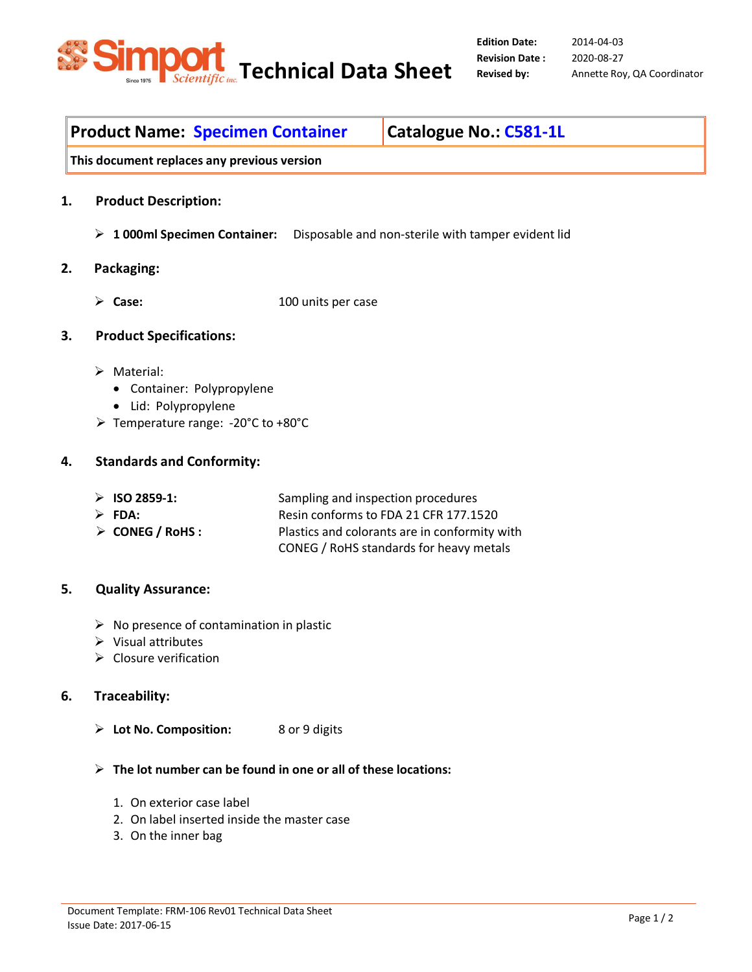

2014-04-03 2020-08-27 **Revised by:** Annette Roy, QA Coordinator

# **Product Name: Specimen Container | Catalogue No.: C581-1L**

**This document replaces any previous version** 

- **1. Product Description:** 
	- **1 000ml Specimen Container:** Disposable and non-sterile with tamper evident lid

#### **2. Packaging:**

**Case:** 100 units per case

#### **3. Product Specifications:**

- > Material:
	- Container: Polypropylene
	- Lid: Polypropylene
- Temperature range: -20°C to +80°C

#### **4. Standards and Conformity:**

| $\triangleright$ ISO 2859-1:    | Sampling and inspection procedures            |
|---------------------------------|-----------------------------------------------|
| $\triangleright$ FDA:           | Resin conforms to FDA 21 CFR 177.1520         |
| $\triangleright$ CONEG / RoHS : | Plastics and colorants are in conformity with |
|                                 | CONEG / RoHS standards for heavy metals       |

## **5. Quality Assurance:**

- $\triangleright$  No presence of contamination in plastic
- $\triangleright$  Visual attributes
- $\triangleright$  Closure verification

## **6. Traceability:**

- **Lot No. Composition:** 8 or 9 digits
- **The lot number can be found in one or all of these locations:**
	- 1. On exterior case label
	- 2. On label inserted inside the master case
	- 3. On the inner bag